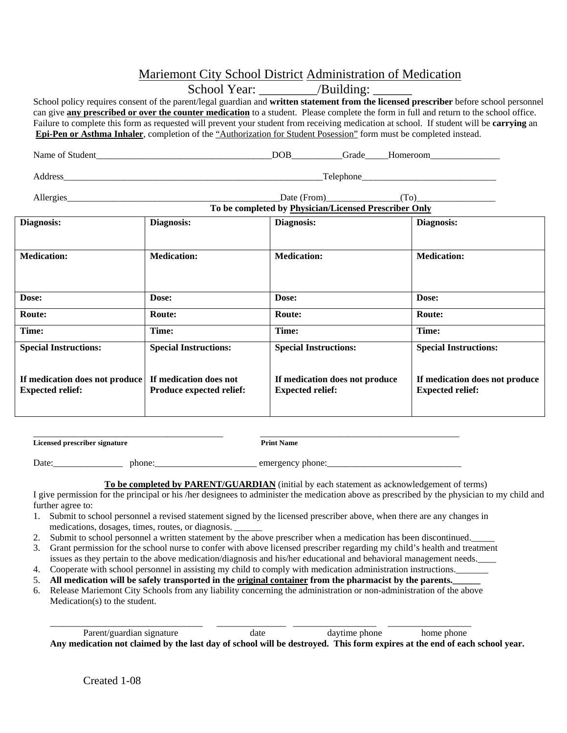## Mariemont City School District Administration of Medication

|                                                                                  |                              | School Year: ___________/Building: _______                                                                                                                                                                                                                                       |                                                           |  |  |  |  |  |  |  |  |  |
|----------------------------------------------------------------------------------|------------------------------|----------------------------------------------------------------------------------------------------------------------------------------------------------------------------------------------------------------------------------------------------------------------------------|-----------------------------------------------------------|--|--|--|--|--|--|--|--|--|
|                                                                                  |                              | School policy requires consent of the parent/legal guardian and written statement from the licensed prescriber before school personnel<br>can give any prescribed or over the counter medication to a student. Please complete the form in full and return to the school office. |                                                           |  |  |  |  |  |  |  |  |  |
|                                                                                  |                              | Failure to complete this form as requested will prevent your student from receiving medication at school. If student will be carrying an<br>Epi-Pen or Asthma Inhaler, completion of the "Authorization for Student Posession" form must be completed instead.                   |                                                           |  |  |  |  |  |  |  |  |  |
|                                                                                  |                              |                                                                                                                                                                                                                                                                                  |                                                           |  |  |  |  |  |  |  |  |  |
|                                                                                  |                              | Address Telephone Telephone Telephone Telephone Telephone Telephone Telephone Telephone Telephone Telephone Telephone Telephone Telephone Telephone Telephone Telephone Telephone Telephone Telephone Telephone Telephone Tele                                                   |                                                           |  |  |  |  |  |  |  |  |  |
|                                                                                  |                              | $\text{Date (From)}$ (To) (To)                                                                                                                                                                                                                                                   |                                                           |  |  |  |  |  |  |  |  |  |
| To be completed by Physician/Licensed Prescriber Only                            |                              |                                                                                                                                                                                                                                                                                  |                                                           |  |  |  |  |  |  |  |  |  |
| Diagnosis:                                                                       | Diagnosis:                   | Diagnosis:                                                                                                                                                                                                                                                                       | Diagnosis:                                                |  |  |  |  |  |  |  |  |  |
| <b>Medication:</b>                                                               | <b>Medication:</b>           | <b>Medication:</b>                                                                                                                                                                                                                                                               | <b>Medication:</b>                                        |  |  |  |  |  |  |  |  |  |
| Dose:                                                                            | Dose:                        | Dose:                                                                                                                                                                                                                                                                            | Dose:                                                     |  |  |  |  |  |  |  |  |  |
| Route:                                                                           | Route:                       | <b>Route:</b>                                                                                                                                                                                                                                                                    | Route:                                                    |  |  |  |  |  |  |  |  |  |
| Time:                                                                            | Time:                        | Time:                                                                                                                                                                                                                                                                            | Time:                                                     |  |  |  |  |  |  |  |  |  |
| <b>Special Instructions:</b>                                                     | <b>Special Instructions:</b> | <b>Special Instructions:</b>                                                                                                                                                                                                                                                     | <b>Special Instructions:</b>                              |  |  |  |  |  |  |  |  |  |
| If medication does not produce If medication does not<br><b>Expected relief:</b> | Produce expected relief:     | If medication does not produce<br><b>Expected relief:</b>                                                                                                                                                                                                                        | If medication does not produce<br><b>Expected relief:</b> |  |  |  |  |  |  |  |  |  |

\_\_\_\_\_\_\_\_\_\_\_\_\_\_\_\_\_\_\_\_\_\_\_\_\_\_\_\_\_\_\_\_\_\_\_\_\_\_\_\_\_ \_\_\_\_\_\_\_\_\_\_\_\_\_\_\_\_\_\_\_\_\_\_\_\_\_\_\_\_\_\_\_\_\_\_\_\_\_\_\_\_\_\_\_ **Licensed prescriber signature Print Name** 

Date:\_\_\_\_\_\_\_\_\_\_\_\_\_\_\_ phone:\_\_\_\_\_\_\_\_\_\_\_\_\_\_\_\_\_\_\_\_\_\_ emergency phone:\_\_\_\_\_\_\_\_\_\_\_\_\_\_\_\_\_\_\_\_\_\_\_\_\_\_\_\_\_

**To be completed by PARENT/GUARDIAN** (initial by each statement as acknowledgement of terms)

I give permission for the principal or his /her designees to administer the medication above as prescribed by the physician to my child and further agree to:

- 1. Submit to school personnel a revised statement signed by the licensed prescriber above, when there are any changes in medications, dosages, times, routes, or diagnosis. \_\_\_\_\_\_
- 2. Submit to school personnel a written statement by the above prescriber when a medication has been discontinued.\_\_\_\_\_
- 3. Grant permission for the school nurse to confer with above licensed prescriber regarding my child's health and treatment issues as they pertain to the above medication/diagnosis and his/her educational and behavioral management needs.
- 4. Cooperate with school personnel in assisting my child to comply with medication administration instructions.\_\_\_\_\_\_\_
- 5. **All medication will be safely transported in the original container from the pharmacist by the parents.\_\_\_\_\_\_**
- 6. Release Mariemont City Schools from any liability concerning the administration or non-administration of the above Medication(s) to the student.

\_\_\_\_\_\_\_\_\_\_\_\_\_\_\_\_\_\_\_\_\_\_\_\_\_\_\_\_\_\_\_\_\_ \_\_\_\_\_\_\_\_\_\_\_\_\_\_\_ \_\_\_\_\_\_\_\_\_\_\_\_\_\_\_\_\_\_ \_\_\_\_\_\_\_\_\_\_\_\_\_\_\_\_\_\_ Parent/guardian signature date daytime phone home phone **Any medication not claimed by the last day of school will be destroyed. This form expires at the end of each school year.**